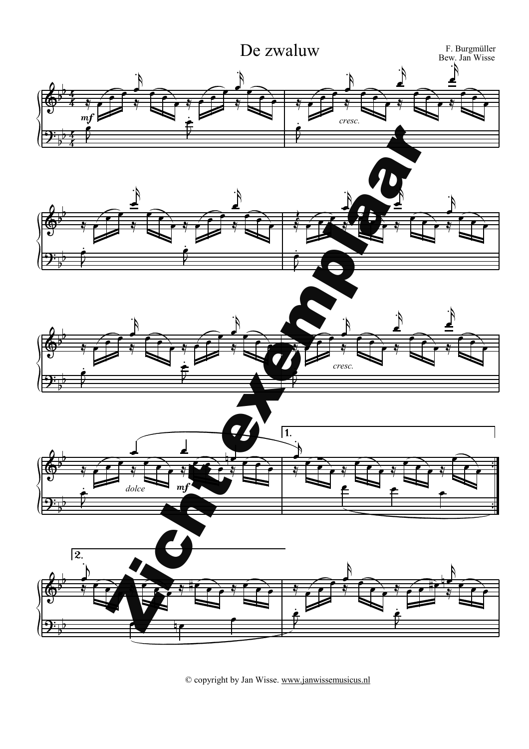

© copyright by Jan Wisse. [www.janwissemusicus.nl](http://www.janwissemusicus.nl)